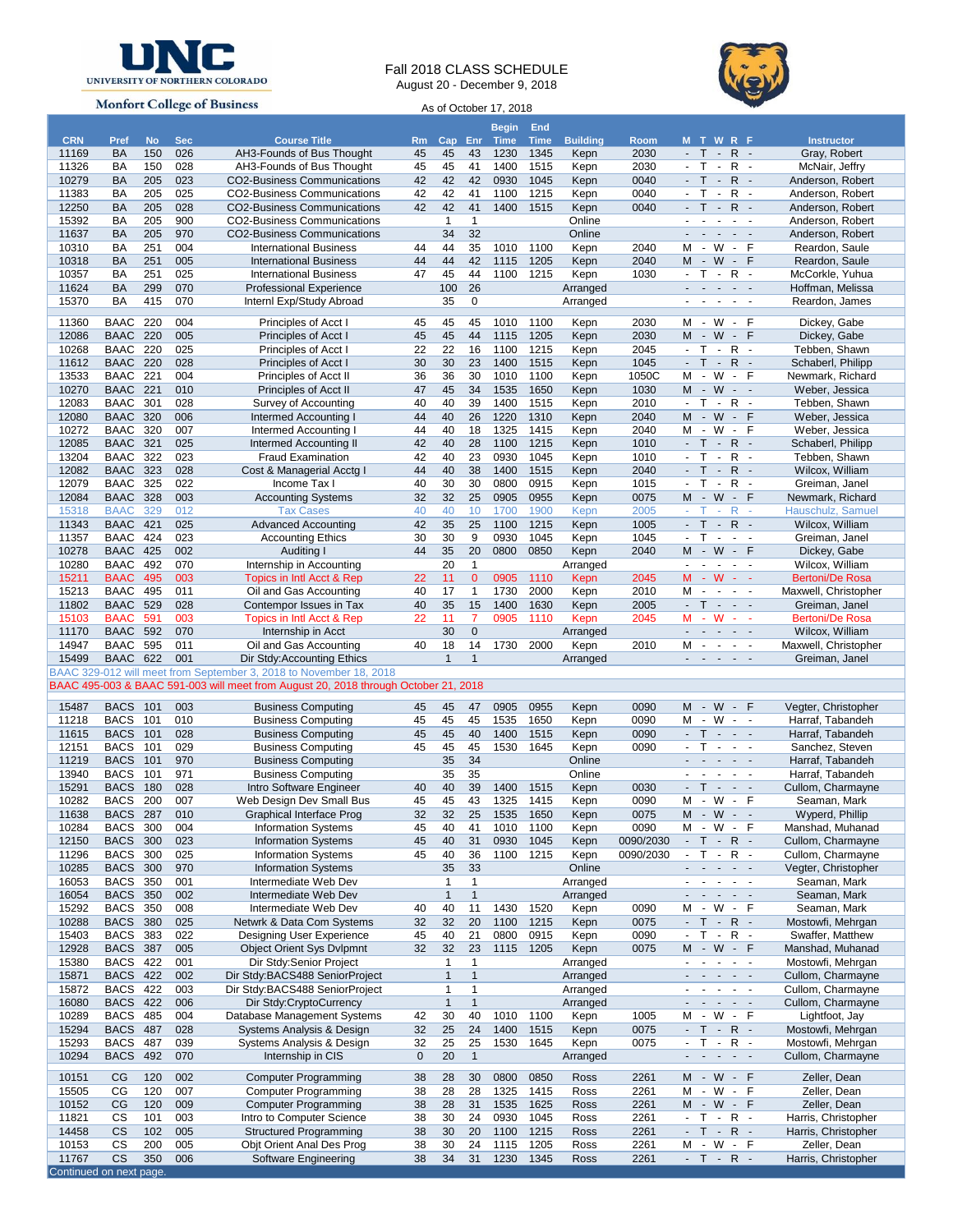

## Fall 2018 CLASS SCHEDULE August 20 - December 9, 2018



**Monfort College of Business** 

As of October 17, 2018

|                                  |                 |           |            |                                                                                     |             |              |              | <b>Begin</b> | End         |                 |                        |                             |                                                                 |                          |                                    |                          |                        |
|----------------------------------|-----------------|-----------|------------|-------------------------------------------------------------------------------------|-------------|--------------|--------------|--------------|-------------|-----------------|------------------------|-----------------------------|-----------------------------------------------------------------|--------------------------|------------------------------------|--------------------------|------------------------|
| <b>CRN</b>                       | Pref            | <b>No</b> | <b>Sec</b> | <b>Course Title</b>                                                                 | <b>Rm</b>   | Cap Enr      |              | <b>Time</b>  | <b>Time</b> | <b>Building</b> | Room                   |                             | <b>MTWRF</b>                                                    |                          |                                    |                          | <b>Instructor</b>      |
| 11169                            | <b>BA</b>       | 150       | 026        | AH3-Founds of Bus Thought                                                           | 45          | 45           | 43           | 1230         | 1345        | Kepn            | 2030                   |                             | $-T$ $-$                                                        |                          | $R -$                              |                          | Gray, Robert           |
| 11326                            | BA              | 150       | 028        | AH3-Founds of Bus Thought                                                           | 45          | 45           | 41           | 1400         | 1515        | Kepn            | 2030                   | $-$ T                       |                                                                 | $\mathcal{L}$            | R                                  | $\sim$                   | McNair, Jeffry         |
| 10279                            | BA              | 205       | 023        | <b>CO2-Business Communications</b>                                                  | 42          | 42           | 42           | 0930         | 1045        | Kepn            | 0040                   | $-$ T                       |                                                                 | $\blacksquare$           | $R -$                              |                          | Anderson, Robert       |
| 11383                            | BA              | 205       | 025        | <b>CO2-Business Communications</b>                                                  | 42          | 42           | 41           | 1100         | 1215        | Kepn            | 0040                   | $\sim$                      | $\top$                                                          | $\mathbb{Z}$             | $R -$                              |                          | Anderson, Robert       |
| 12250                            | BA              | 205       | 028        | <b>CO2-Business Communications</b>                                                  | 42          | 42           | 41           | 1400         | 1515        | Kepn            | 0040                   |                             | T.                                                              | $\sim$                   | $R -$                              |                          | Anderson, Robert       |
| 15392                            | BA              | 205       | 900        | <b>CO2-Business Communications</b>                                                  |             | $\mathbf{1}$ | $\mathbf{1}$ |              |             | Online          |                        | $\mathbf{r}$                | $\blacksquare$                                                  | $\omega$                 | $\blacksquare$                     |                          | Anderson, Robert       |
| 11637                            | BA              | 205       | 970        | <b>CO2-Business Communications</b>                                                  |             | 34           | 32           |              |             | Online          |                        | $\mathcal{L}^{\mathcal{L}}$ | $\sim$                                                          | $\blacksquare$           | $\omega_{\rm{max}}$                |                          | Anderson, Robert       |
| 10310                            | BA              | 251       | 004        | <b>International Business</b>                                                       | 44          | 44           | 35           | 1010         | 1100        | Kepn            | 2040                   | м                           | - W - F                                                         |                          |                                    |                          | Reardon, Saule         |
| 10318                            | BA              | 251       | 005        | <b>International Business</b>                                                       | 44          | 44           | 42           | 1115         | 1205        | Kepn            | 2040                   | M                           | $-W - F$                                                        |                          |                                    |                          | Reardon, Saule         |
| 10357                            | BA              | 251       | 025        | <b>International Business</b>                                                       | 47          | 45           | 44           | 1100         | 1215        | Kepn            | 1030                   |                             | $-T$ -                                                          |                          | R                                  | $\sim$                   | McCorkle, Yuhua        |
| 11624                            | BA              | 299       | 070        | <b>Professional Experience</b>                                                      |             | 100          | 26           |              |             | Arranged        |                        |                             | $\omega_{\rm{eff}}$ , $\omega_{\rm{eff}}$ , $\omega_{\rm{eff}}$ |                          | $\sim$ $ \sim$                     |                          | Hoffman, Melissa       |
| 15370                            | BA              | 415       | 070        | Internl Exp/Study Abroad                                                            |             | 35           | 0            |              |             | Arranged        |                        | $\blacksquare$              | $\sim$                                                          | $\overline{\phantom{a}}$ | $\blacksquare$                     | $\overline{\phantom{a}}$ | Reardon, James         |
|                                  |                 |           |            |                                                                                     |             |              |              |              |             |                 |                        |                             |                                                                 |                          |                                    |                          |                        |
| 11360                            | BAAC            | 220       | 004        | Principles of Acct I                                                                | 45          | 45           | 45           | 1010         | 1100        | Kepn            | 2030                   |                             | M - W - F                                                       |                          |                                    |                          | Dickey, Gabe           |
| 12086                            | <b>BAAC</b>     | 220       | 005        | Principles of Acct I                                                                | 45          | 45           | 44           | 1115         | 1205        | Kepn            | 2030                   |                             | $M - W$                                                         |                          | $-$ F                              |                          | Dickey, Gabe           |
| 10268                            | BAAC            | 220       | 025        | Principles of Acct I                                                                | 22          | 22           | 16           | 1100         | 1215        | Kepn            | 2045                   |                             | $-$ T $-$ R $-$                                                 |                          |                                    |                          | Tebben, Shawn          |
| 11612                            | <b>BAAC 220</b> |           | 028        | Principles of Acct I                                                                | 30          | 30           | 23           | 1400         | 1515        | Kepn            | 1045                   | $-$ T                       |                                                                 | $\sim$                   | $R -$                              |                          | Schaberl, Philipp      |
| 13533                            | BAAC            | 221       | 004        | Principles of Acct II                                                               | 36          | 36           | 30           | 1010         | 1100        | Kepn            | 1050C                  | м                           | $\sim$                                                          | W                        | $-$ F                              |                          | Newmark, Richard       |
| 10270                            | <b>BAAC 221</b> |           | 010        | Principles of Acct II                                                               | 47          | 45           | 34           | 1535         | 1650        | Kepn            | 1030                   |                             | $M - W$                                                         |                          | $\sim$ $ \sim$                     |                          | Weber, Jessica         |
| 12083                            | <b>BAAC</b>     | 301       | 028        | Survey of Accounting                                                                | 40          | 40           | 39           | 1400         | 1515        | Kepn            | 2010                   | $-$ T                       |                                                                 | $\sim$                   | $R -$                              |                          | Tebben, Shawn          |
| 12080                            | <b>BAAC</b>     | 320       | 006        | Intermed Accounting I                                                               | 44          | 40           | 26           | 1220         | 1310        | Kepn            | 2040                   |                             | M - W - F                                                       |                          |                                    |                          | Weber, Jessica         |
| 10272                            | <b>BAAC</b>     | 320       | 007        | Intermed Accounting I                                                               | 44          | 40           | 18           | 1325         | 1415        | Kepn            | 2040                   | м                           | $\sim$                                                          | W                        | $\sim$                             | F                        | Weber, Jessica         |
|                                  |                 |           |            |                                                                                     |             |              | 28           |              |             |                 |                        |                             | $-T$ $-$                                                        |                          |                                    |                          |                        |
| 12085                            | <b>BAAC</b>     | 321       | 025        | <b>Intermed Accounting II</b>                                                       | 42          | 40           |              | 1100         | 1215        | Kepn            | 1010                   |                             |                                                                 |                          | $R -$                              |                          | Schaberl, Philipp      |
| 13204                            | <b>BAAC</b>     | 322       | 023        | <b>Fraud Examination</b>                                                            | 42          | 40           | 23           | 0930         | 1045        | Kepn            | 1010                   | $\omega$                    | $\top$                                                          | $\sim$                   | R                                  | $\sim$                   | Tebben, Shawn          |
| 12082                            | <b>BAAC</b>     | 323       | 028        | Cost & Managerial Acctg I                                                           | 44          | 40           | 38           | 1400         | 1515        | Kepn            | 2040                   | $\sim$                      | T                                                               | $\blacksquare$           | $R -$                              |                          | Wilcox, William        |
| 12079                            | <b>BAAC</b>     | 325       | 022        | Income Tax I                                                                        | 40          | 30           | 30           | 0800         | 0915        | Kepn            | 1015                   | $-$ T                       |                                                                 | $\mathcal{L}$            | $R -$                              |                          | Greiman, Janel         |
| 12084                            | <b>BAAC</b>     | 328       | 003        | <b>Accounting Systems</b>                                                           | 32          | 32           | 25           | 0905         | 0955        | Kepn            | 0075                   | M -                         |                                                                 | W                        | - F                                |                          | Newmark, Richard       |
| 15318                            | <b>BAAC</b>     | 329       | 012        | <b>Tax Cases</b>                                                                    | 40          | 40           | 10           | 1700         | 1900        | Kepn            | 2005                   | $-$ T                       |                                                                 | $\sim$                   | $R -$                              |                          | Hauschulz, Samuel      |
| 11343                            | <b>BAAC</b>     | 421       | 025        | <b>Advanced Accounting</b>                                                          | 42          | 35           | 25           | 1100         | 1215        | Kepn            | 1005                   |                             | T                                                               | $\blacksquare$           | $R -$                              |                          | Wilcox, William        |
| 11357                            | BAAC            | 424       | 023        | <b>Accounting Ethics</b>                                                            | 30          | 30           | 9            | 0930         | 1045        | Kepn            | 1045                   | $\blacksquare$              | $\mathsf{T}$                                                    | $\sim$                   | $\sim$ $ \sim$                     |                          | Greiman, Janel         |
| 10278                            | BAAC 425        |           | 002        | Auditing I                                                                          | 44          | 35           | 20           | 0800         | 0850        | Kepn            | 2040                   |                             | $M - W$                                                         |                          | $-$ F                              |                          | Dickey, Gabe           |
| 10280                            | BAAC            | 492       | 070        | Internship in Accounting                                                            |             | 20           | $\mathbf{1}$ |              |             | Arranged        |                        | $\mathcal{L}^{\text{max}}$  |                                                                 | $\sim$                   | $\sim 10$                          |                          | Wilcox, William        |
| 15211                            | <b>BAAC</b>     | 495       | 003        | Topics in Intl Acct & Rep                                                           | 22          | 11           | $\mathbf{0}$ | 0905         | 1110        | Kepn            | 2045                   |                             | $M - W$                                                         |                          | $\omega_{\rm{eff}}=2$              |                          | <b>Bertoni/De Rosa</b> |
| 15213                            | <b>BAAC</b>     | 495       | 011        |                                                                                     | 40          | 17           | $\mathbf{1}$ | 1730         | 2000        |                 | 2010                   | М                           | $\sim$                                                          | $\sim$                   | $\sim 10^{-1}$ $\sim$              |                          |                        |
|                                  |                 |           |            | Oil and Gas Accounting                                                              |             |              |              |              |             | Kepn            |                        |                             |                                                                 |                          |                                    |                          | Maxwell, Christopher   |
| 11802                            | <b>BAAC 529</b> |           | 028        | Contempor Issues in Tax                                                             | 40          | 35           | 15           | 1400         | 1630        | Kepn            | 2005                   | $-$ T                       |                                                                 | $\sim$                   | $\sim$ $ \sim$                     |                          | Greiman, Janel         |
| 15103                            | <b>BAAC</b>     | 591       | 003        | Topics in Intl Acct & Rep                                                           | 22          | 11           | 7            | 0905         | 1110        | Kepn            | 2045                   | M -                         |                                                                 | W                        | $\omega_{\rm{max}}$                |                          | <b>Bertoni/De Rosa</b> |
| 11170                            | <b>BAAC 592</b> |           | 070        | Internship in Acct                                                                  |             | 30           | $\pmb{0}$    |              |             | Arranged        |                        | $\sim$                      |                                                                 | $\blacksquare$           | $\omega_{\rm{max}}$                |                          | Wilcox, William        |
| 14947                            | <b>BAAC</b>     | 595       | 011        | Oil and Gas Accounting                                                              | 40          | 18           | 14           | 1730         | 2000        | Kepn            | 2010                   | м                           | $\sim$                                                          | $\sim$                   | $\blacksquare$                     |                          | Maxwell, Christopher   |
| 15499                            | <b>BAAC 622</b> |           | 001        | Dir Stdy:Accounting Ethics                                                          |             | $\mathbf{1}$ | $\mathbf{1}$ |              |             | Arranged        |                        |                             | <b>.</b>                                                        |                          |                                    |                          | Greiman, Janel         |
|                                  |                 |           |            | BAAC 329-012 will meet from September 3, 2018 to November 18, 2018                  |             |              |              |              |             |                 |                        |                             |                                                                 |                          |                                    |                          |                        |
|                                  |                 |           |            | BAAC 495-003 & BAAC 591-003 will meet from August 20, 2018 through October 21, 2018 |             |              |              |              |             |                 |                        |                             |                                                                 |                          |                                    |                          |                        |
|                                  | <b>BACS 101</b> |           | 003        |                                                                                     |             |              |              |              | 0955        |                 |                        |                             | $M - W$                                                         |                          | $-$ F                              |                          |                        |
| 15487                            |                 |           | 010        | <b>Business Computing</b>                                                           | 45          | 45           | 47           | 0905         |             | Kepn            | 0090                   |                             |                                                                 | W                        |                                    |                          | Vegter, Christopher    |
| 11218                            | <b>BACS</b>     | 101       |            | <b>Business Computing</b>                                                           | 45          | 45           | 45           | 1535         | 1650        | Kepn            | 0090                   | M                           | $\sim$                                                          |                          | $\sim$ $ \sim$                     |                          | Harraf, Tabandeh       |
| 11615                            | <b>BACS</b>     | 101       | 028        | <b>Business Computing</b>                                                           | 45          | 45           | 40           | 1400         | 1515        | Kepn            | 0090                   | ä,                          | $T - - -$                                                       |                          |                                    |                          | Harraf, Tabandeh       |
| 12151                            | <b>BACS</b>     | 101       | 029        | <b>Business Computing</b>                                                           | 45          | 45           | 45           | 1530         | 1645        | Kepn            | 0090                   | $\sim$                      | $\mathsf{T}$                                                    | $\overline{\phantom{a}}$ | $\sim$ $ \sim$                     |                          | Sanchez, Steven        |
| 11219                            | <b>BACS</b>     | 101       | 970        | <b>Business Computing</b>                                                           |             | 35           | 34           |              |             | Online          |                        | ÷.                          | ÷.                                                              | $\sim$                   | $\omega_{\rm{max}}$                |                          | Harraf, Tabandeh       |
| 13940                            | <b>BACS</b>     | 101       | 971        | <b>Business Computing</b>                                                           |             | 35           | 35           |              |             | Online          |                        |                             | $\sim$                                                          |                          | $\mathbf{r}$<br>$\sim$             |                          | Harraf, Tabandeh       |
| 15291                            | <b>BACS</b>     | 180       | 028        | Intro Software Engineer                                                             | 40          | 40           | 39           | 1400         | 1515        | Kepn            | 0030                   |                             | $-T$ -                                                          |                          | $\sim 100$                         |                          | Cullom, Charmayne      |
| 10282                            | <b>BACS</b>     | 200       | 007        | Web Design Dev Small Bus                                                            | 45          | 45           | 43           | 1325         | 1415        | Kepn            | 0090                   | м                           | $-W$                                                            |                          | - F                                |                          | Seaman, Mark           |
| 11638                            | <b>BACS 287</b> |           | 010        | <b>Graphical Interface Prog</b>                                                     | 32          | 32           | 25           | 1535         | 1650        | Kepn            | 0075                   |                             | M - W - -                                                       |                          |                                    |                          | Wyperd, Phillip        |
| 10284                            | <b>BACS 300</b> |           | 004        | <b>Information Systems</b>                                                          | 45          | 40           | 41           | 1010         | 1100        | Kepn            | 0090                   |                             | M - W - F                                                       |                          |                                    |                          | Manshad, Muhanad       |
| 12150                            | <b>BACS</b>     | 300       | 023        | <b>Information Systems</b>                                                          | 45          | 40           | 31           | 0930         |             |                 |                        |                             |                                                                 |                          |                                    |                          | Cullom, Charmayne      |
| 11296                            | <b>BACS</b>     | 300       | 025        | <b>Information Systems</b>                                                          |             |              |              |              |             |                 |                        | $\blacksquare$              |                                                                 |                          |                                    |                          |                        |
|                                  |                 |           |            |                                                                                     |             | 40           | 36           |              | 1045        | Kepn            | 0090/2030<br>0090/2030 | $\blacksquare$              | $T -$                                                           | $T - R -$                |                                    |                          |                        |
|                                  |                 |           |            |                                                                                     | 45          |              |              | 1100         | 1215        | Kepn<br>Online  |                        | $\blacksquare$              | $\blacksquare$                                                  | $\overline{\phantom{a}}$ | $R -$<br>$\sim$ $ \sim$            |                          | Cullom, Charmayne      |
| 10285                            | <b>BACS 300</b> |           | 970        | <b>Information Systems</b>                                                          |             | 35           | 33           |              |             |                 |                        | ÷.                          | $\blacksquare$                                                  |                          |                                    |                          | Vegter, Christopher    |
| 16053                            | <b>BACS</b>     | 350       | 001        | Intermediate Web Dev                                                                |             | 1            | $\mathbf{1}$ |              |             | Arranged        |                        |                             |                                                                 | $\blacksquare$           | $\sim 100$                         |                          | Seaman, Mark           |
| 16054                            | <b>BACS 350</b> |           | 002        | Intermediate Web Dev                                                                |             | $\mathbf{1}$ | $\mathbf{1}$ |              |             | Arranged        |                        | $\blacksquare$              | $\overline{\phantom{a}}$                                        | $\blacksquare$           | $\sim$ $ \sim$                     |                          | Seaman, Mark           |
| 15292                            | <b>BACS</b>     | 350       | 008        | Intermediate Web Dev                                                                | 40          | 40           | 11           | 1430         | 1520        | Kepn            | 0090                   | М                           | $\mathbb{Z}^2$                                                  | W                        | - F                                |                          | Seaman, Mark           |
| 10288                            | <b>BACS 380</b> |           | 025        | Netwrk & Data Com Systems                                                           | 32          | 32           | 20           | 1100         | 1215        | Kepn            | 0075                   | $-$ T                       |                                                                 | $-R -$                   |                                    |                          | Mostowfi, Mehrgan      |
| 15403                            | <b>BACS</b>     | 383       | 022        | Designing User Experience                                                           | 45          | 40           | 21           | 0800         | 0915        | Kepn            | 0090                   | $-$ T                       |                                                                 | $\sim$                   | $R -$                              |                          | Swaffer, Matthew       |
| 12928                            | <b>BACS 387</b> |           | 005        | <b>Object Orient Sys Dvlpmnt</b>                                                    | 32          | 32           | 23           |              | 1115 1205   | Kepn            | 0075                   |                             | $M - W - F$                                                     |                          |                                    |                          | Manshad, Muhanad       |
| 15380                            | <b>BACS</b>     | 422       | 001        | Dir Stdy:Senior Project                                                             |             | 1            | $\mathbf{1}$ |              |             | Arranged        |                        | $\blacksquare$              | $\overline{\phantom{a}}$                                        | $\blacksquare$           | $\overline{\phantom{a}}$           | $\blacksquare$           | Mostowfi, Mehrgan      |
| 15871                            | <b>BACS 422</b> |           | 002        | Dir Stdy:BACS488 SeniorProject                                                      |             | $\mathbf{1}$ | $\mathbf{1}$ |              |             | Arranged        |                        | $\blacksquare$              | $\blacksquare$                                                  | $\sim$                   | $\sim$ $ \sim$                     |                          | Cullom, Charmayne      |
| 15872                            | <b>BACS 422</b> |           | 003        | Dir Stdy:BACS488 SeniorProject                                                      |             | 1            | 1            |              |             | Arranged        |                        | $\blacksquare$              |                                                                 | $\sim$                   | $\sim$ $ \sim$                     |                          | Cullom, Charmayne      |
| 16080                            | <b>BACS 422</b> |           | 006        | Dir Stdy:CryptoCurrency                                                             |             | $\mathbf{1}$ | $\mathbf{1}$ |              |             | Arranged        |                        |                             | $\blacksquare$                                                  | $\blacksquare$           | $\overline{\phantom{a}}$<br>$\sim$ |                          | Cullom, Charmayne      |
| 10289                            | <b>BACS</b>     | 485       | 004        | Database Management Systems                                                         | 42          | 30           | 40           | 1010         | 1100        | Kepn            | 1005                   | м                           | $\sim$                                                          | $W - F$                  |                                    |                          | Lightfoot, Jay         |
| 15294                            | <b>BACS 487</b> |           | 028        | Systems Analysis & Design                                                           | 32          | 25           | 24           | 1400         | 1515        | Kepn            | 0075                   | - T                         |                                                                 | $-R -$                   |                                    |                          | Mostowfi, Mehrgan      |
| 15293                            | <b>BACS</b>     | 487       | 039        | Systems Analysis & Design                                                           | 32          | 25           | 25           | 1530         | 1645        | Kepn            | 0075                   | $-$ T                       |                                                                 | $\sim$                   | $R -$                              |                          | Mostowfi, Mehrgan      |
|                                  |                 |           |            |                                                                                     |             |              | $\mathbf{1}$ |              |             |                 |                        | $\blacksquare$              | $\blacksquare$                                                  | $\blacksquare$           | $\blacksquare$<br>$\sim$           |                          |                        |
| 10294                            | <b>BACS 492</b> |           | 070        | Internship in CIS                                                                   | $\mathbf 0$ | 20           |              |              |             | Arranged        |                        |                             |                                                                 |                          |                                    |                          | Cullom, Charmayne      |
| 10151                            | CG              | 120       | 002        | <b>Computer Programming</b>                                                         | 38          | 28           | 30           | 0800         | 0850        | Ross            | 2261                   |                             | $M - W - F$                                                     |                          |                                    |                          | Zeller, Dean           |
| 15505                            | CG              | 120       | 007        | <b>Computer Programming</b>                                                         | 38          | 28           | 28           | 1325         | 1415        | Ross            | 2261                   |                             | $M - W$                                                         |                          | $-$ F                              |                          | Zeller, Dean           |
| 10152                            | CG              | 120       | 009        | <b>Computer Programming</b>                                                         | 38          | 28           | 31           | 1535         | 1625        | Ross            | 2261                   |                             | $M - W$                                                         |                          | $- F$                              |                          | Zeller, Dean           |
| 11821                            | СS              | 101       | 003        | Intro to Computer Science                                                           | 38          | 30           | 24           | 0930         | 1045        | Ross            | 2261                   | $-$ T                       |                                                                 | $\sim$                   | $R -$                              |                          | Harris, Christopher    |
| 14458                            |                 | 102       | 005        | <b>Structured Programming</b>                                                       |             | 30           | 20           | 1100         | 1215        | Ross            | 2261                   | $-$ T                       |                                                                 | $\sim$                   | $R -$                              |                          | Harris, Christopher    |
|                                  | CS              |           |            |                                                                                     | 38          |              |              |              |             |                 |                        | м                           | $\sim$                                                          |                          |                                    |                          |                        |
| 10153                            | CS              | 200       | 005        | Objt Orient Anal Des Prog                                                           | 38          | 30           | 24           | 1115         | 1205        | Ross            | 2261                   |                             |                                                                 | $W - F$                  |                                    |                          | Zeller, Dean           |
| 11767<br>Continued on next page. | CS              | 350       | 006        | Software Engineering                                                                | 38          | 34           | 31           | 1230         | 1345        | Ross            | 2261                   |                             | $-T - R -$                                                      |                          |                                    |                          | Harris, Christopher    |